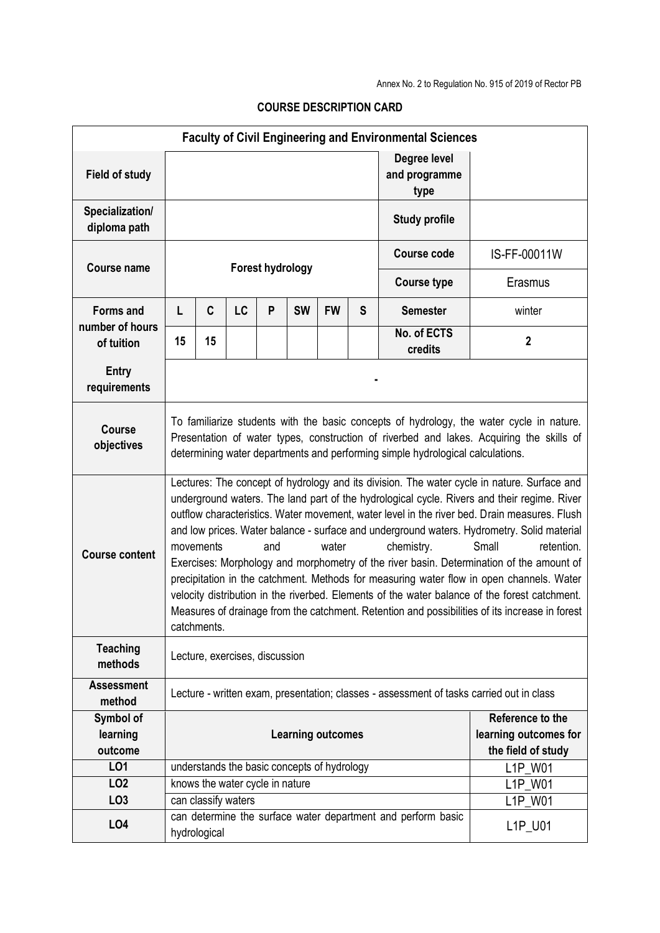| <b>Faculty of Civil Engineering and Environmental Sciences</b> |                                                                                                                                                                                                                                                                                                                                                                                                                                                                                                                                                                                                                                                                                                                                                                                                                                                                      |              |                     |   |           |           |                                                                 |                                                              |                |  |
|----------------------------------------------------------------|----------------------------------------------------------------------------------------------------------------------------------------------------------------------------------------------------------------------------------------------------------------------------------------------------------------------------------------------------------------------------------------------------------------------------------------------------------------------------------------------------------------------------------------------------------------------------------------------------------------------------------------------------------------------------------------------------------------------------------------------------------------------------------------------------------------------------------------------------------------------|--------------|---------------------|---|-----------|-----------|-----------------------------------------------------------------|--------------------------------------------------------------|----------------|--|
| <b>Field of study</b>                                          |                                                                                                                                                                                                                                                                                                                                                                                                                                                                                                                                                                                                                                                                                                                                                                                                                                                                      |              |                     |   |           |           |                                                                 | Degree level<br>and programme<br>type                        |                |  |
| Specialization/<br>diploma path                                | <b>Study profile</b>                                                                                                                                                                                                                                                                                                                                                                                                                                                                                                                                                                                                                                                                                                                                                                                                                                                 |              |                     |   |           |           |                                                                 |                                                              |                |  |
| <b>Course name</b>                                             | <b>Forest hydrology</b>                                                                                                                                                                                                                                                                                                                                                                                                                                                                                                                                                                                                                                                                                                                                                                                                                                              |              |                     |   |           |           |                                                                 | <b>Course code</b>                                           | IS-FF-00011W   |  |
|                                                                |                                                                                                                                                                                                                                                                                                                                                                                                                                                                                                                                                                                                                                                                                                                                                                                                                                                                      |              |                     |   |           |           |                                                                 | <b>Course type</b>                                           | Erasmus        |  |
| <b>Forms and</b><br>number of hours<br>of tuition              | L                                                                                                                                                                                                                                                                                                                                                                                                                                                                                                                                                                                                                                                                                                                                                                                                                                                                    | C            | LC                  | P | <b>SW</b> | <b>FW</b> | S                                                               | <b>Semester</b>                                              | winter         |  |
|                                                                | 15                                                                                                                                                                                                                                                                                                                                                                                                                                                                                                                                                                                                                                                                                                                                                                                                                                                                   | 15           |                     |   |           |           |                                                                 | No. of ECTS<br>credits                                       | $\overline{2}$ |  |
| Entry<br>requirements                                          |                                                                                                                                                                                                                                                                                                                                                                                                                                                                                                                                                                                                                                                                                                                                                                                                                                                                      |              |                     |   |           |           |                                                                 |                                                              |                |  |
| <b>Course</b><br>objectives                                    | To familiarize students with the basic concepts of hydrology, the water cycle in nature.<br>Presentation of water types, construction of riverbed and lakes. Acquiring the skills of<br>determining water departments and performing simple hydrological calculations.                                                                                                                                                                                                                                                                                                                                                                                                                                                                                                                                                                                               |              |                     |   |           |           |                                                                 |                                                              |                |  |
| <b>Course content</b>                                          | Lectures: The concept of hydrology and its division. The water cycle in nature. Surface and<br>underground waters. The land part of the hydrological cycle. Rivers and their regime. River<br>outflow characteristics. Water movement, water level in the river bed. Drain measures. Flush<br>and low prices. Water balance - surface and underground waters. Hydrometry. Solid material<br>chemistry.<br>Small<br>retention.<br>movements<br>and<br>water<br>Exercises: Morphology and morphometry of the river basin. Determination of the amount of<br>precipitation in the catchment. Methods for measuring water flow in open channels. Water<br>velocity distribution in the riverbed. Elements of the water balance of the forest catchment.<br>Measures of drainage from the catchment. Retention and possibilities of its increase in forest<br>catchments. |              |                     |   |           |           |                                                                 |                                                              |                |  |
| <b>Teaching</b><br>methods                                     | Lecture, exercises, discussion                                                                                                                                                                                                                                                                                                                                                                                                                                                                                                                                                                                                                                                                                                                                                                                                                                       |              |                     |   |           |           |                                                                 |                                                              |                |  |
| <b>Assessment</b><br>method                                    | Lecture - written exam, presentation; classes - assessment of tasks carried out in class                                                                                                                                                                                                                                                                                                                                                                                                                                                                                                                                                                                                                                                                                                                                                                             |              |                     |   |           |           |                                                                 |                                                              |                |  |
| Symbol of<br>learning<br>outcome                               | <b>Learning outcomes</b>                                                                                                                                                                                                                                                                                                                                                                                                                                                                                                                                                                                                                                                                                                                                                                                                                                             |              |                     |   |           |           | Reference to the<br>learning outcomes for<br>the field of study |                                                              |                |  |
| LO1                                                            | understands the basic concepts of hydrology                                                                                                                                                                                                                                                                                                                                                                                                                                                                                                                                                                                                                                                                                                                                                                                                                          |              |                     |   |           |           |                                                                 |                                                              | L1P W01        |  |
| LO <sub>2</sub>                                                | knows the water cycle in nature                                                                                                                                                                                                                                                                                                                                                                                                                                                                                                                                                                                                                                                                                                                                                                                                                                      |              |                     |   |           |           |                                                                 | L1P W01                                                      |                |  |
| LO <sub>3</sub>                                                |                                                                                                                                                                                                                                                                                                                                                                                                                                                                                                                                                                                                                                                                                                                                                                                                                                                                      |              | can classify waters |   |           |           |                                                                 |                                                              | L1P_W01        |  |
| LO <sub>4</sub>                                                |                                                                                                                                                                                                                                                                                                                                                                                                                                                                                                                                                                                                                                                                                                                                                                                                                                                                      | hydrological |                     |   |           |           |                                                                 | can determine the surface water department and perform basic | L1P_U01        |  |

## **COURSE DESCRIPTION CARD**